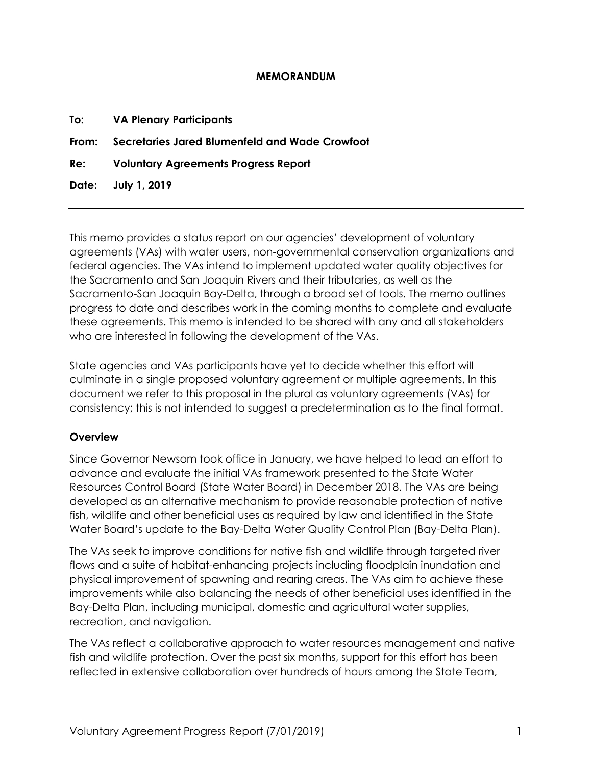#### **MEMORANDUM**

| <b>To:</b> VA Plenary Participants                   |
|------------------------------------------------------|
| From: Secretaries Jared Blumenfeld and Wade Crowfoot |
| Re: Voluntary Agreements Progress Report             |
| Date: July 1, 2019                                   |
|                                                      |

This memo provides a status report on our agencies' development of voluntary agreements (VAs) with water users, non-governmental conservation organizations and federal agencies. The VAs intend to implement updated water quality objectives for the Sacramento and San Joaquin Rivers and their tributaries, as well as the Sacramento-San Joaquin Bay-Delta, through a broad set of tools. The memo outlines progress to date and describes work in the coming months to complete and evaluate these agreements. This memo is intended to be shared with any and all stakeholders who are interested in following the development of the VAs.

State agencies and VAs participants have yet to decide whether this effort will culminate in a single proposed voluntary agreement or multiple agreements. In this document we refer to this proposal in the plural as voluntary agreements (VAs) for consistency; this is not intended to suggest a predetermination as to the final format.

#### **Overview**

Since Governor Newsom took office in January, we have helped to lead an effort to advance and evaluate the initial VAs framework presented to the State Water Resources Control Board (State Water Board) in December 2018. The VAs are being developed as an alternative mechanism to provide reasonable protection of native fish, wildlife and other beneficial uses as required by law and identified in the State Water Board's update to the Bay-Delta Water Quality Control Plan (Bay-Delta Plan).

The VAs seek to improve conditions for native fish and wildlife through targeted river flows and a suite of habitat-enhancing projects including floodplain inundation and physical improvement of spawning and rearing areas. The VAs aim to achieve these improvements while also balancing the needs of other beneficial uses identified in the Bay-Delta Plan, including municipal, domestic and agricultural water supplies, recreation, and navigation.

The VAs reflect a collaborative approach to water resources management and native fish and wildlife protection. Over the past six months, support for this effort has been reflected in extensive collaboration over hundreds of hours among the State Team,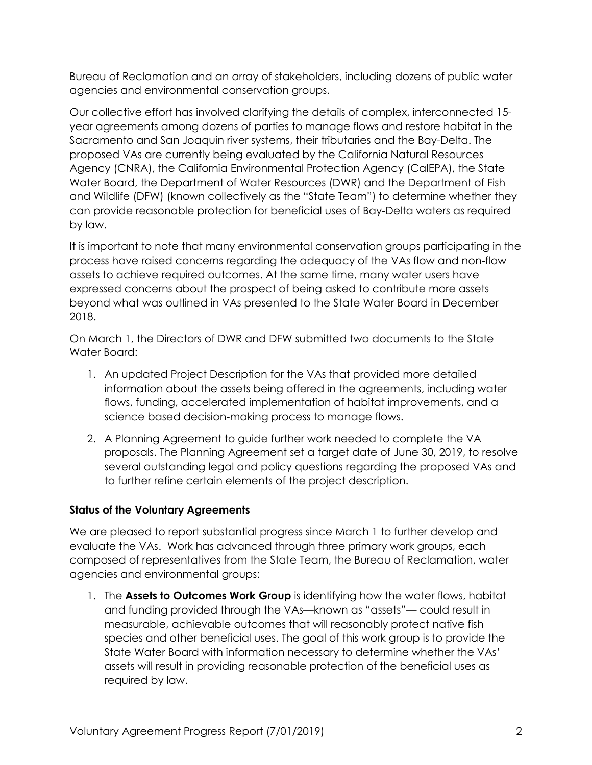Bureau of Reclamation and an array of stakeholders, including dozens of public water agencies and environmental conservation groups.

Our collective effort has involved clarifying the details of complex, interconnected 15 year agreements among dozens of parties to manage flows and restore habitat in the Sacramento and San Joaquin river systems, their tributaries and the Bay-Delta. The proposed VAs are currently being evaluated by the California Natural Resources Agency (CNRA), the California Environmental Protection Agency (CalEPA), the State Water Board, the Department of Water Resources (DWR) and the Department of Fish and Wildlife (DFW) (known collectively as the "State Team") to determine whether they can provide reasonable protection for beneficial uses of Bay-Delta waters as required by law.

It is important to note that many environmental conservation groups participating in the process have raised concerns regarding the adequacy of the VAs flow and non-flow assets to achieve required outcomes. At the same time, many water users have expressed concerns about the prospect of being asked to contribute more assets beyond what was outlined in VAs presented to the State Water Board in December 2018.

On March 1, the Directors of DWR and DFW submitted two documents to the State Water Board:

- 1. An updated Project Description for the VAs that provided more detailed information about the assets being offered in the agreements, including water flows, funding, accelerated implementation of habitat improvements, and a science based decision-making process to manage flows.
- 2. A Planning Agreement to guide further work needed to complete the VA proposals. The Planning Agreement set a target date of June 30, 2019, to resolve several outstanding legal and policy questions regarding the proposed VAs and to further refine certain elements of the project description.

# **Status of the Voluntary Agreements**

We are pleased to report substantial progress since March 1 to further develop and evaluate the VAs. Work has advanced through three primary work groups, each composed of representatives from the State Team, the Bureau of Reclamation, water agencies and environmental groups:

1. The **Assets to Outcomes Work Group** is identifying how the water flows, habitat and funding provided through the VAs—known as "assets"— could result in measurable, achievable outcomes that will reasonably protect native fish species and other beneficial uses. The goal of this work group is to provide the State Water Board with information necessary to determine whether the VAs' assets will result in providing reasonable protection of the beneficial uses as required by law.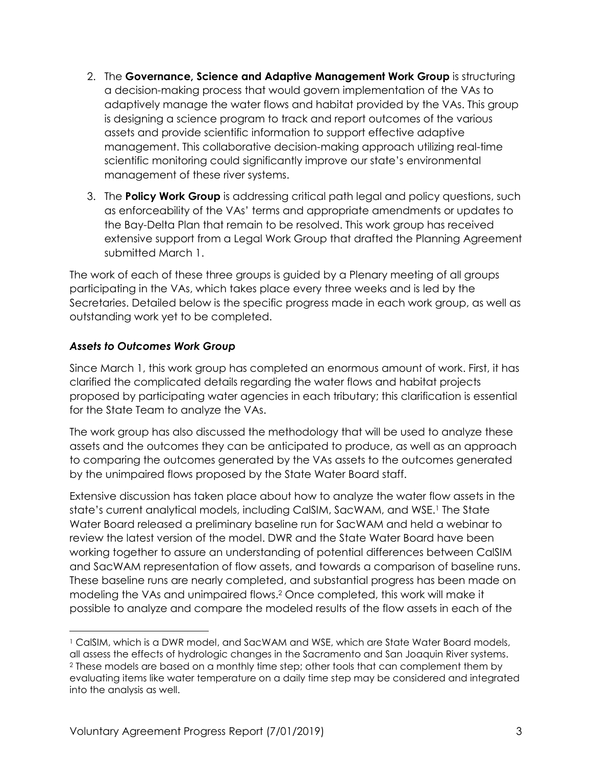- 2. The **Governance, Science and Adaptive Management Work Group** is structuring a decision-making process that would govern implementation of the VAs to adaptively manage the water flows and habitat provided by the VAs. This group is designing a science program to track and report outcomes of the various assets and provide scientific information to support effective adaptive management. This collaborative decision-making approach utilizing real-time scientific monitoring could significantly improve our state's environmental management of these river systems.
- 3. The **Policy Work Group** is addressing critical path legal and policy questions, such as enforceability of the VAs' terms and appropriate amendments or updates to the Bay-Delta Plan that remain to be resolved. This work group has received extensive support from a Legal Work Group that drafted the Planning Agreement submitted March 1.

The work of each of these three groups is guided by a Plenary meeting of all groups participating in the VAs, which takes place every three weeks and is led by the Secretaries. Detailed below is the specific progress made in each work group, as well as outstanding work yet to be completed.

# *Assets to Outcomes Work Group*

 $\overline{a}$ 

Since March 1, this work group has completed an enormous amount of work. First, it has clarified the complicated details regarding the water flows and habitat projects proposed by participating water agencies in each tributary; this clarification is essential for the State Team to analyze the VAs.

The work group has also discussed the methodology that will be used to analyze these assets and the outcomes they can be anticipated to produce, as well as an approach to comparing the outcomes generated by the VAs assets to the outcomes generated by the unimpaired flows proposed by the State Water Board staff.

Extensive discussion has taken place about how to analyze the water flow assets in the state's current analytical models, including CalSIM, SacWAM, and WSE. <sup>1</sup> The State Water Board released a preliminary baseline run for SacWAM and held a webinar to review the latest version of the model. DWR and the State Water Board have been working together to assure an understanding of potential differences between CalSIM and SacWAM representation of flow assets, and towards a comparison of baseline runs. These baseline runs are nearly completed, and substantial progress has been made on modeling the VAs and unimpaired flows. <sup>2</sup> Once completed, this work will make it possible to analyze and compare the modeled results of the flow assets in each of the

<sup>1</sup> CalSIM, which is a DWR model, and SacWAM and WSE, which are State Water Board models, all assess the effects of hydrologic changes in the Sacramento and San Joaquin River systems. <sup>2</sup> These models are based on a monthly time step; other tools that can complement them by evaluating items like water temperature on a daily time step may be considered and integrated into the analysis as well.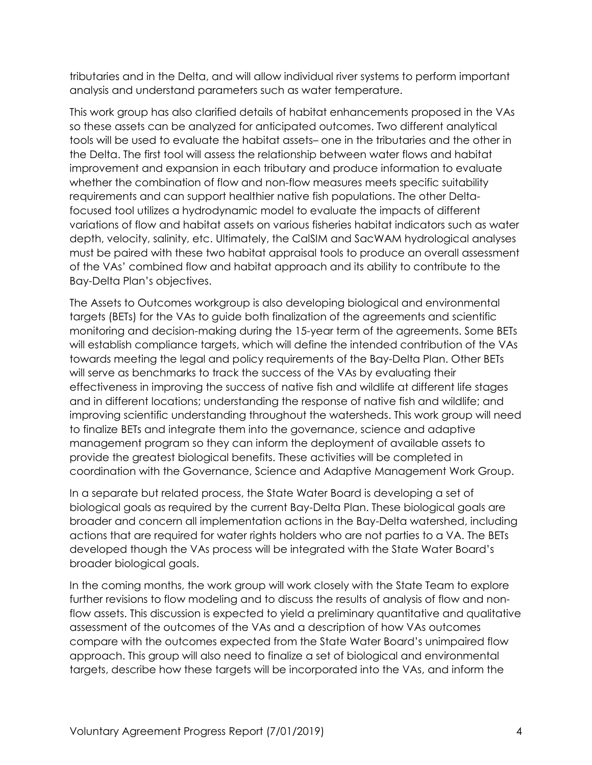tributaries and in the Delta, and will allow individual river systems to perform important analysis and understand parameters such as water temperature.

This work group has also clarified details of habitat enhancements proposed in the VAs so these assets can be analyzed for anticipated outcomes. Two different analytical tools will be used to evaluate the habitat assets– one in the tributaries and the other in the Delta. The first tool will assess the relationship between water flows and habitat improvement and expansion in each tributary and produce information to evaluate whether the combination of flow and non-flow measures meets specific suitability requirements and can support healthier native fish populations. The other Deltafocused tool utilizes a hydrodynamic model to evaluate the impacts of different variations of flow and habitat assets on various fisheries habitat indicators such as water depth, velocity, salinity, etc. Ultimately, the CalSIM and SacWAM hydrological analyses must be paired with these two habitat appraisal tools to produce an overall assessment of the VAs' combined flow and habitat approach and its ability to contribute to the Bay-Delta Plan's objectives.

The Assets to Outcomes workgroup is also developing biological and environmental targets (BETs) for the VAs to guide both finalization of the agreements and scientific monitoring and decision-making during the 15-year term of the agreements. Some BETs will establish compliance targets, which will define the intended contribution of the VAs towards meeting the legal and policy requirements of the Bay-Delta Plan. Other BETs will serve as benchmarks to track the success of the VAs by evaluating their effectiveness in improving the success of native fish and wildlife at different life stages and in different locations; understanding the response of native fish and wildlife; and improving scientific understanding throughout the watersheds. This work group will need to finalize BETs and integrate them into the governance, science and adaptive management program so they can inform the deployment of available assets to provide the greatest biological benefits. These activities will be completed in coordination with the Governance, Science and Adaptive Management Work Group.

In a separate but related process, the State Water Board is developing a set of biological goals as required by the current Bay-Delta Plan. These biological goals are broader and concern all implementation actions in the Bay-Delta watershed, including actions that are required for water rights holders who are not parties to a VA. The BETs developed though the VAs process will be integrated with the State Water Board's broader biological goals.

In the coming months, the work group will work closely with the State Team to explore further revisions to flow modeling and to discuss the results of analysis of flow and nonflow assets. This discussion is expected to yield a preliminary quantitative and qualitative assessment of the outcomes of the VAs and a description of how VAs outcomes compare with the outcomes expected from the State Water Board's unimpaired flow approach. This group will also need to finalize a set of biological and environmental targets, describe how these targets will be incorporated into the VAs, and inform the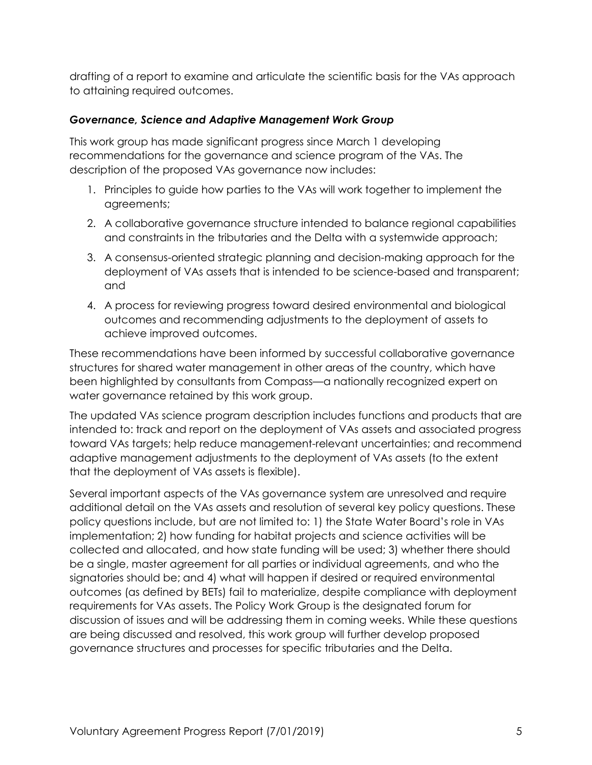drafting of a report to examine and articulate the scientific basis for the VAs approach to attaining required outcomes.

## *Governance, Science and Adaptive Management Work Group*

This work group has made significant progress since March 1 developing recommendations for the governance and science program of the VAs. The description of the proposed VAs governance now includes:

- 1. Principles to guide how parties to the VAs will work together to implement the agreements;
- 2. A collaborative governance structure intended to balance regional capabilities and constraints in the tributaries and the Delta with a systemwide approach;
- 3. A consensus-oriented strategic planning and decision-making approach for the deployment of VAs assets that is intended to be science-based and transparent; and
- 4. A process for reviewing progress toward desired environmental and biological outcomes and recommending adjustments to the deployment of assets to achieve improved outcomes.

These recommendations have been informed by successful collaborative governance structures for shared water management in other areas of the country, which have been highlighted by consultants from Compass—a nationally recognized expert on water governance retained by this work group.

The updated VAs science program description includes functions and products that are intended to: track and report on the deployment of VAs assets and associated progress toward VAs targets; help reduce management-relevant uncertainties; and recommend adaptive management adjustments to the deployment of VAs assets (to the extent that the deployment of VAs assets is flexible).

Several important aspects of the VAs governance system are unresolved and require additional detail on the VAs assets and resolution of several key policy questions. These policy questions include, but are not limited to: 1) the State Water Board's role in VAs implementation; 2) how funding for habitat projects and science activities will be collected and allocated, and how state funding will be used; 3) whether there should be a single, master agreement for all parties or individual agreements, and who the signatories should be; and 4) what will happen if desired or required environmental outcomes (as defined by BETs) fail to materialize, despite compliance with deployment requirements for VAs assets. The Policy Work Group is the designated forum for discussion of issues and will be addressing them in coming weeks. While these questions are being discussed and resolved, this work group will further develop proposed governance structures and processes for specific tributaries and the Delta.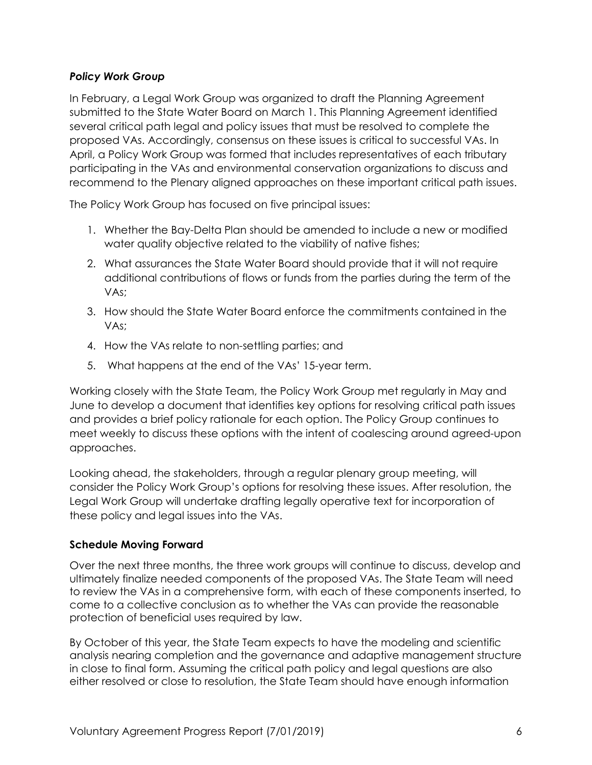## *Policy Work Group*

In February, a Legal Work Group was organized to draft the Planning Agreement submitted to the State Water Board on March 1. This Planning Agreement identified several critical path legal and policy issues that must be resolved to complete the proposed VAs. Accordingly, consensus on these issues is critical to successful VAs. In April, a Policy Work Group was formed that includes representatives of each tributary participating in the VAs and environmental conservation organizations to discuss and recommend to the Plenary aligned approaches on these important critical path issues.

The Policy Work Group has focused on five principal issues:

- 1. Whether the Bay-Delta Plan should be amended to include a new or modified water quality objective related to the viability of native fishes;
- 2. What assurances the State Water Board should provide that it will not require additional contributions of flows or funds from the parties during the term of the VAs;
- 3. How should the State Water Board enforce the commitments contained in the VAs;
- 4. How the VAs relate to non-settling parties; and
- 5. What happens at the end of the VAs' 15-year term.

Working closely with the State Team, the Policy Work Group met regularly in May and June to develop a document that identifies key options for resolving critical path issues and provides a brief policy rationale for each option. The Policy Group continues to meet weekly to discuss these options with the intent of coalescing around agreed-upon approaches.

Looking ahead, the stakeholders, through a regular plenary group meeting, will consider the Policy Work Group's options for resolving these issues. After resolution, the Legal Work Group will undertake drafting legally operative text for incorporation of these policy and legal issues into the VAs.

## **Schedule Moving Forward**

Over the next three months, the three work groups will continue to discuss, develop and ultimately finalize needed components of the proposed VAs. The State Team will need to review the VAs in a comprehensive form, with each of these components inserted, to come to a collective conclusion as to whether the VAs can provide the reasonable protection of beneficial uses required by law.

By October of this year, the State Team expects to have the modeling and scientific analysis nearing completion and the governance and adaptive management structure in close to final form. Assuming the critical path policy and legal questions are also either resolved or close to resolution, the State Team should have enough information